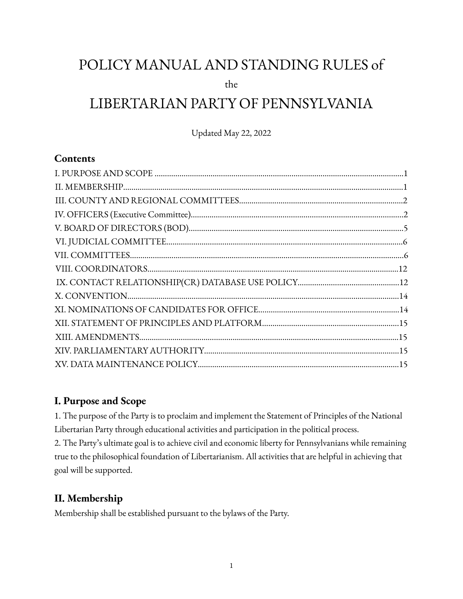# POLICY MANUAL AND STANDING RULES of

the

# LIBERTARIAN PARTY OF PENNSYLVANIA

Updated May 22, 2022

## **Contents**

| $X. \: CONVENTION. \: 14 \\$ |  |
|------------------------------|--|
|                              |  |
|                              |  |
|                              |  |
|                              |  |
|                              |  |

## **I. Purpose and Scope**

1. The purpose of the Party is to proclaim and implement the Statement of Principles of the National Libertarian Party through educational activities and participation in the political process. 2. The Party's ultimate goal is to achieve civil and economic liberty for Pennsylvanians while remaining true to the philosophical foundation of Libertarianism. All activities that are helpful in achieving that goal will be supported.

## **II. Membership**

Membership shall be established pursuant to the bylaws of the Party.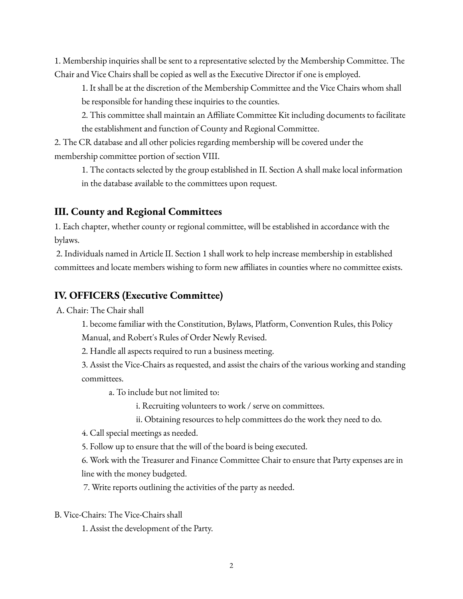1. Membership inquiries shall be sent to a representative selected by the Membership Committee. The Chair and Vice Chairs shall be copied as well as the Executive Director if one is employed.

1. It shall be at the discretion of the Membership Committee and the Vice Chairs whom shall be responsible for handing these inquiries to the counties.

2. This committee shall maintain an Affiliate Committee Kit including documents to facilitate the establishment and function of County and Regional Committee.

2. The CR database and all other policies regarding membership will be covered under the membership committee portion of section VIII.

1. The contacts selected by the group established in II. Section A shall make local information in the database available to the committees upon request.

# **III. County and Regional Committees**

1. Each chapter, whether county or regional committee, will be established in accordance with the bylaws.

2. Individuals named in Article II. Section 1 shall work to help increase membership in established committees and locate members wishing to form new affiliates in counties where no committee exists.

# **IV. OFFICERS (Executive Committee)**

A. Chair: The Chair shall

1. become familiar with the Constitution, Bylaws, Platform, Convention Rules, this Policy Manual, and Robert's Rules of Order Newly Revised.

2. Handle all aspects required to run a business meeting.

3. Assist the Vice-Chairs as requested, and assist the chairs of the various working and standing committees.

a. To include but not limited to:

i. Recruiting volunteers to work / serve on committees.

ii. Obtaining resources to help committees do the work they need to do.

4. Call special meetings as needed.

5. Follow up to ensure that the will of the board is being executed.

6. Work with the Treasurer and Finance Committee Chair to ensure that Party expenses are in line with the money budgeted.

7. Write reports outlining the activities of the party as needed.

B. Vice-Chairs: The Vice-Chairs shall

1. Assist the development of the Party.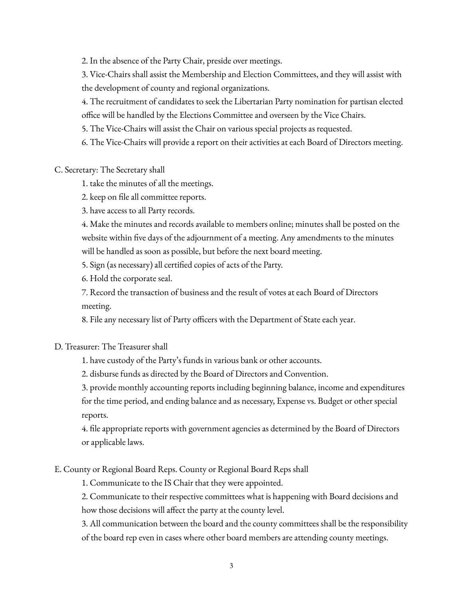2. In the absence of the Party Chair, preside over meetings.

3. Vice-Chairs shall assist the Membership and Election Committees, and they will assist with the development of county and regional organizations.

4. The recruitment of candidates to seek the Libertarian Party nomination for partisan elected office will be handled by the Elections Committee and overseen by the Vice Chairs.

5. The Vice-Chairs will assist the Chair on various special projects as requested.

6. The Vice-Chairs will provide a report on their activities at each Board of Directors meeting.

C. Secretary: The Secretary shall

1. take the minutes of all the meetings.

2. keep on file all committee reports.

3. have access to all Party records.

4. Make the minutes and records available to members online; minutes shall be posted on the website within five days of the adjournment of a meeting. Any amendments to the minutes will be handled as soon as possible, but before the next board meeting.

5. Sign (as necessary) all certified copies of acts of the Party.

6. Hold the corporate seal.

7. Record the transaction of business and the result of votes at each Board of Directors meeting.

8. File any necessary list of Party officers with the Department of State each year.

#### D. Treasurer: The Treasurer shall

1. have custody of the Party's funds in various bank or other accounts.

2. disburse funds as directed by the Board of Directors and Convention.

3. provide monthly accounting reports including beginning balance, income and expenditures for the time period, and ending balance and as necessary, Expense vs. Budget or other special reports.

4. file appropriate reports with government agencies as determined by the Board of Directors or applicable laws.

#### E. County or Regional Board Reps. County or Regional Board Reps shall

1. Communicate to the IS Chair that they were appointed.

2. Communicate to their respective committees what is happening with Board decisions and how those decisions will affect the party at the county level.

3. All communication between the board and the county committees shall be the responsibility of the board rep even in cases where other board members are attending county meetings.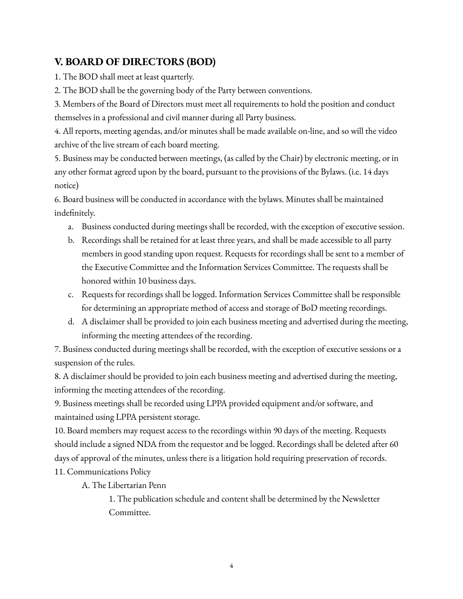# **V. BOARD OF DIRECTORS (BOD)**

1. The BOD shall meet at least quarterly.

2. The BOD shall be the governing body of the Party between conventions.

3. Members of the Board of Directors must meet all requirements to hold the position and conduct themselves in a professional and civil manner during all Party business.

4. All reports, meeting agendas, and/or minutes shall be made available on-line, and so will the video archive of the live stream of each board meeting.

5. Business may be conducted between meetings, (as called by the Chair) by electronic meeting, or in any other format agreed upon by the board, pursuant to the provisions of the Bylaws. (i.e. 14 days notice)

6. Board business will be conducted in accordance with the bylaws. Minutes shall be maintained indefinitely.

- a. Business conducted during meetings shall be recorded, with the exception of executive session.
- b. Recordings shall be retained for at least three years, and shall be made accessible to all party members in good standing upon request. Requests for recordings shall be sent to a member of the Executive Committee and the Information Services Committee. The requests shall be honored within 10 business days.
- c. Requests for recordings shall be logged. Information Services Committee shall be responsible for determining an appropriate method of access and storage of BoD meeting recordings.
- d. A disclaimer shall be provided to join each business meeting and advertised during the meeting, informing the meeting attendees of the recording.

7. Business conducted during meetings shall be recorded, with the exception of executive sessions or a suspension of the rules.

8. A disclaimer should be provided to join each business meeting and advertised during the meeting, informing the meeting attendees of the recording.

9. Business meetings shall be recorded using LPPA provided equipment and/or software, and maintained using LPPA persistent storage.

10. Board members may request access to the recordings within 90 days of the meeting. Requests should include a signed NDA from the requestor and be logged. Recordings shall be deleted after 60 days of approval of the minutes, unless there is a litigation hold requiring preservation of records.

11. Communications Policy

A. The Libertarian Penn

1. The publication schedule and content shall be determined by the Newsletter Committee.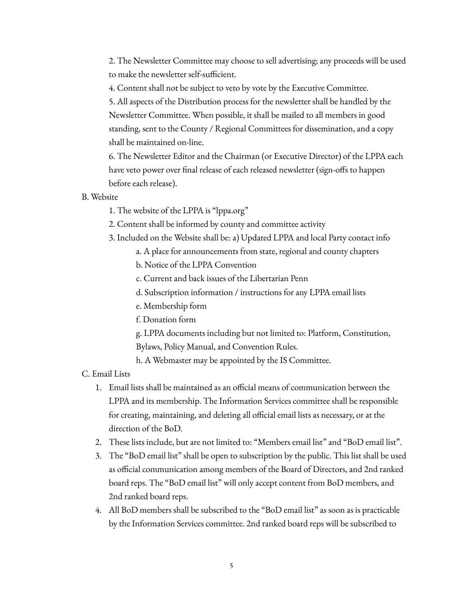2. The Newsletter Committee may choose to sell advertising; any proceeds will be used to make the newsletter self-sufficient.

4. Content shall not be subject to veto by vote by the Executive Committee.

5. All aspects of the Distribution process for the newsletter shall be handled by the Newsletter Committee. When possible, it shall be mailed to all members in good standing, sent to the County / Regional Committees for dissemination, and a copy shall be maintained on-line.

6. The Newsletter Editor and the Chairman (or Executive Director) of the LPPA each have veto power over final release of each released newsletter (sign-offs to happen before each release).

#### B. Website

- 1. The website of the LPPA is "lppa.org"
- 2. Content shall be informed by county and committee activity
- 3. Included on the Website shall be: a) Updated LPPA and local Party contact info
	- a. A place for announcements from state, regional and county chapters
	- b. Notice of the LPPA Convention
	- c. Current and back issues of the Libertarian Penn
	- d. Subscription information / instructions for any LPPA email lists
	- e. Membership form
	- f. Donation form
	- g. LPPA documents including but not limited to: Platform, Constitution, Bylaws, Policy Manual, and Convention Rules.
	- h. A Webmaster may be appointed by the IS Committee.

#### C. Email Lists

- 1. Email lists shall be maintained as an official means of communication between the LPPA and its membership. The Information Services committee shall be responsible for creating, maintaining, and deleting all official email lists as necessary, or at the direction of the BoD.
- 2. These lists include, but are not limited to: "Members email list" and "BoD email list".
- 3. The "BoD email list" shall be open to subscription by the public. This list shall be used as official communication among members of the Board of Directors, and 2nd ranked board reps. The "BoD email list" will only accept content from BoD members, and 2nd ranked board reps.
- 4. All BoD members shall be subscribed to the "BoD email list" as soon as is practicable by the Information Services committee. 2nd ranked board reps will be subscribed to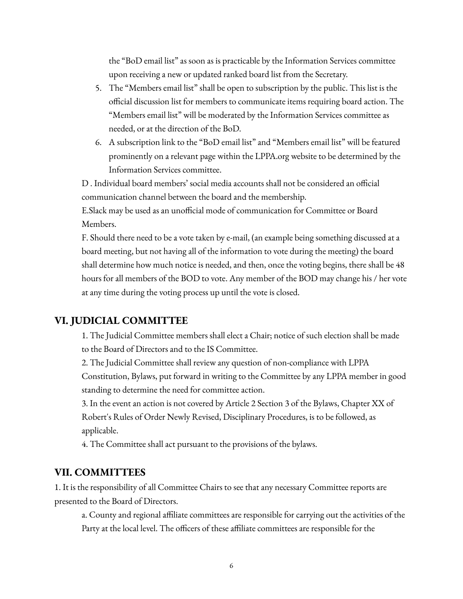the "BoD email list" as soon as is practicable by the Information Services committee upon receiving a new or updated ranked board list from the Secretary.

- 5. The "Members email list" shall be open to subscription by the public. This list is the official discussion list for members to communicate items requiring board action. The "Members email list" will be moderated by the Information Services committee as needed, or at the direction of the BoD.
- 6. A subscription link to the "BoD email list" and "Members email list" will be featured prominently on a relevant page within the LPPA.org website to be determined by the Information Services committee.

D . Individual board members' social media accounts shall not be considered an official communication channel between the board and the membership.

E.Slack may be used as an unofficial mode of communication for Committee or Board Members.

F. Should there need to be a vote taken by e-mail, (an example being something discussed at a board meeting, but not having all of the information to vote during the meeting) the board shall determine how much notice is needed, and then, once the voting begins, there shall be 48 hours for all members of the BOD to vote. Any member of the BOD may change his / her vote at any time during the voting process up until the vote is closed.

### **VI. JUDICIAL COMMITTEE**

1. The Judicial Committee members shall elect a Chair; notice of such election shall be made to the Board of Directors and to the IS Committee.

2. The Judicial Committee shall review any question of non-compliance with LPPA Constitution, Bylaws, put forward in writing to the Committee by any LPPA member in good standing to determine the need for committee action.

3. In the event an action is not covered by Article 2 Section 3 of the Bylaws, Chapter XX of Robert's Rules of Order Newly Revised, Disciplinary Procedures, is to be followed, as applicable.

4. The Committee shall act pursuant to the provisions of the bylaws.

#### **VII. COMMITTEES**

1. It is the responsibility of all Committee Chairs to see that any necessary Committee reports are presented to the Board of Directors.

a. County and regional affiliate committees are responsible for carrying out the activities of the Party at the local level. The officers of these affiliate committees are responsible for the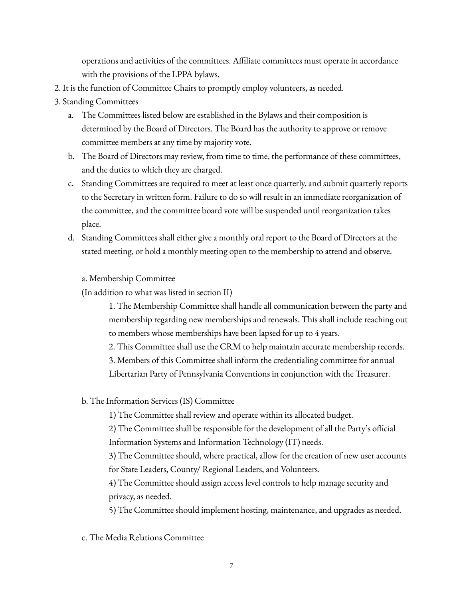operations and activities of the committees. Affiliate committees must operate in accordance with the provisions of the LPPA bylaws.

- 2. It is the function of Committee Chairs to promptly employ volunteers, as needed.
- 3. Standing Committees
	- a. The Committees listed below are established in the Bylaws and their composition is determined by the Board of Directors. The Board has the authority to approve or remove committee members at any time by majority vote.
	- b. The Board of Directors may review, from time to time, the performance of these committees, and the duties to which they are charged.
	- c. Standing Committees are required to meet at least once quarterly, and submit quarterly reports to the Secretary in written form. Failure to do so will result in an immediate reorganization of the committee, and the committee board vote will be suspended until reorganization takes place.
	- d. Standing Committees shall either give a monthly oral report to the Board of Directors at the stated meeting, or hold a monthly meeting open to the membership to attend and observe.

#### a. Membership Committee

(In addition to what was listed in section II)

1. The Membership Committee shall handle all communication between the party and membership regarding new memberships and renewals. This shall include reaching out to members whose memberships have been lapsed for up to 4 years.

2. This Committee shall use the CRM to help maintain accurate membership records.

3. Members of this Committee shall inform the credentialing committee for annual

Libertarian Party of Pennsylvania Conventions in conjunction with the Treasurer.

b. The Information Services (IS) Committee

1) The Committee shall review and operate within its allocated budget.

2) The Committee shall be responsible for the development of all the Party's official Information Systems and Information Technology (IT) needs.

3) The Committee should, where practical, allow for the creation of new user accounts for State Leaders, County/ Regional Leaders, and Volunteers.

4) The Committee should assign access level controls to help manage security and privacy, as needed.

5) The Committee should implement hosting, maintenance, and upgrades as needed.

c. The Media Relations Committee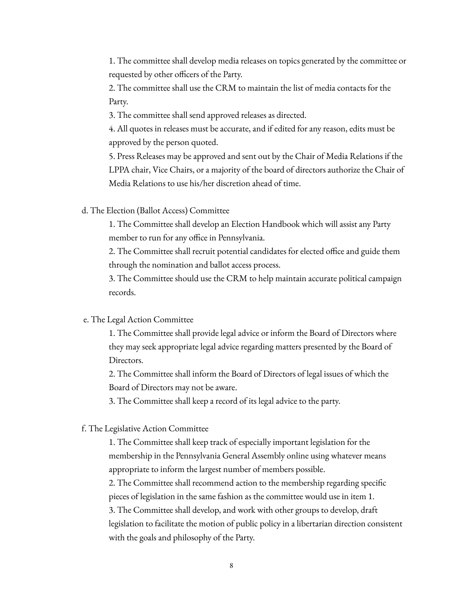1. The committee shall develop media releases on topics generated by the committee or requested by other officers of the Party.

2. The committee shall use the CRM to maintain the list of media contacts for the Party.

3. The committee shall send approved releases as directed.

4. All quotes in releases must be accurate, and if edited for any reason, edits must be approved by the person quoted.

5. Press Releases may be approved and sent out by the Chair of Media Relations if the LPPA chair, Vice Chairs, or a majority of the board of directors authorize the Chair of Media Relations to use his/her discretion ahead of time.

d. The Election (Ballot Access) Committee

1. The Committee shall develop an Election Handbook which will assist any Party member to run for any office in Pennsylvania.

2. The Committee shall recruit potential candidates for elected office and guide them through the nomination and ballot access process.

3. The Committee should use the CRM to help maintain accurate political campaign records.

e. The Legal Action Committee

1. The Committee shall provide legal advice or inform the Board of Directors where they may seek appropriate legal advice regarding matters presented by the Board of Directors.

2. The Committee shall inform the Board of Directors of legal issues of which the Board of Directors may not be aware.

3. The Committee shall keep a record of its legal advice to the party.

f. The Legislative Action Committee

1. The Committee shall keep track of especially important legislation for the membership in the Pennsylvania General Assembly online using whatever means appropriate to inform the largest number of members possible.

2. The Committee shall recommend action to the membership regarding specific pieces of legislation in the same fashion as the committee would use in item 1.

3. The Committee shall develop, and work with other groups to develop, draft legislation to facilitate the motion of public policy in a libertarian direction consistent with the goals and philosophy of the Party.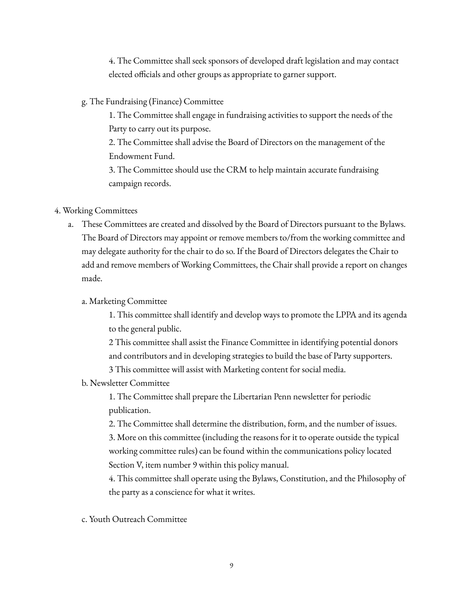4. The Committee shall seek sponsors of developed draft legislation and may contact elected officials and other groups as appropriate to garner support.

g. The Fundraising (Finance) Committee

1. The Committee shall engage in fundraising activities to support the needs of the Party to carry out its purpose.

2. The Committee shall advise the Board of Directors on the management of the Endowment Fund.

3. The Committee should use the CRM to help maintain accurate fundraising campaign records.

#### 4. Working Committees

a. These Committees are created and dissolved by the Board of Directors pursuant to the Bylaws. The Board of Directors may appoint or remove members to/from the working committee and may delegate authority for the chair to do so. If the Board of Directors delegates the Chair to add and remove members of Working Committees, the Chair shall provide a report on changes made.

#### a. Marketing Committee

1. This committee shall identify and develop ways to promote the LPPA and its agenda to the general public.

2 This committee shall assist the Finance Committee in identifying potential donors and contributors and in developing strategies to build the base of Party supporters.

3 This committee will assist with Marketing content for social media.

#### b. Newsletter Committee

1. The Committee shall prepare the Libertarian Penn newsletter for periodic publication.

2. The Committee shall determine the distribution, form, and the number of issues.

3. More on this committee (including the reasons for it to operate outside the typical working committee rules) can be found within the communications policy located Section V, item number 9 within this policy manual.

4. This committee shall operate using the Bylaws, Constitution, and the Philosophy of the party as a conscience for what it writes.

c. Youth Outreach Committee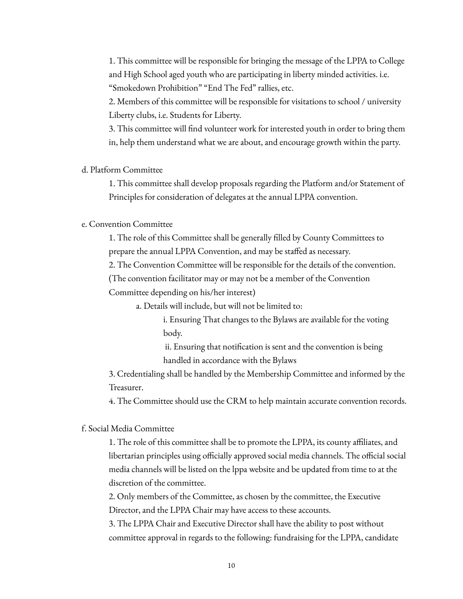1. This committee will be responsible for bringing the message of the LPPA to College and High School aged youth who are participating in liberty minded activities. i.e. "Smokedown Prohibition" "End The Fed" rallies, etc.

2. Members of this committee will be responsible for visitations to school / university Liberty clubs, i.e. Students for Liberty.

3. This committee will find volunteer work for interested youth in order to bring them in, help them understand what we are about, and encourage growth within the party.

d. Platform Committee

1. This committee shall develop proposals regarding the Platform and/or Statement of Principles for consideration of delegates at the annual LPPA convention.

e. Convention Committee

1. The role of this Committee shall be generally filled by County Committees to prepare the annual LPPA Convention, and may be staffed as necessary.

2. The Convention Committee will be responsible for the details of the convention.

(The convention facilitator may or may not be a member of the Convention

Committee depending on his/her interest)

a. Details will include, but will not be limited to:

i. Ensuring That changes to the Bylaws are available for the voting body.

ii. Ensuring that notification is sent and the convention is being handled in accordance with the Bylaws

3. Credentialing shall be handled by the Membership Committee and informed by the Treasurer.

4. The Committee should use the CRM to help maintain accurate convention records.

f. Social Media Committee

1. The role of this committee shall be to promote the LPPA, its county affiliates, and libertarian principles using officially approved social media channels. The official social media channels will be listed on the lppa website and be updated from time to at the discretion of the committee.

2. Only members of the Committee, as chosen by the committee, the Executive Director, and the LPPA Chair may have access to these accounts.

3. The LPPA Chair and Executive Director shall have the ability to post without committee approval in regards to the following: fundraising for the LPPA, candidate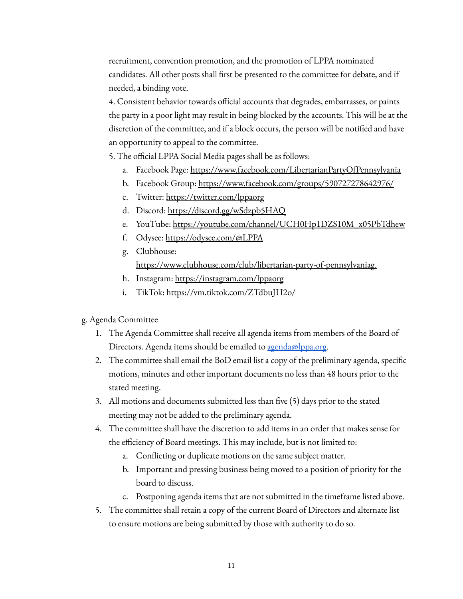recruitment, convention promotion, and the promotion of LPPA nominated candidates. All other posts shall first be presented to the committee for debate, and if needed, a binding vote.

4. Consistent behavior towards official accounts that degrades, embarrasses, or paints the party in a poor light may result in being blocked by the accounts. This will be at the discretion of the committee, and if a block occurs, the person will be notified and have an opportunity to appeal to the committee.

5. The official LPPA Social Media pages shall be as follows:

- a. Facebook Page: <https://www.facebook.com/LibertarianPartyOfPennsylvania>
- b. Facebook Group: <https://www.facebook.com/groups/590727278642976/>
- c. Twitter: <https://twitter.com/lppaorg>
- d. Discord: <https://discord.gg/wSdzpb5HAQ>
- e. YouTube: [https://youtube.com/channel/UCH0Hp1DZS10M\\_x05PbTdhew](https://youtube.com/channel/UCH0Hp1DZS10M_x05PbTdhew)
- f. Odysee: <https://odysee.com/@LPPA>
- g. Clubhouse: [https://www.clubhouse.com/club/libertarian-party-of-pennsylvaniag](https://www.clubhouse.com/club/libertarian-party-of-pennsylvania).
- h. Instagram: <https://instagram.com/lppaorg>
- i. TikTok: <https://vm.tiktok.com/ZTdbuJH2o/>
- g. Agenda Committee
	- 1. The Agenda Committee shall receive all agenda items from members of the Board of Directors. Agenda items should be emailed to [agenda@lppa.org](mailto:agenda@lppa.org).
	- 2. The committee shall email the BoD email list a copy of the preliminary agenda, specific motions, minutes and other important documents no less than 48 hours prior to the stated meeting.
	- 3. All motions and documents submitted less than five (5) days prior to the stated meeting may not be added to the preliminary agenda.
	- 4. The committee shall have the discretion to add items in an order that makes sense for the efficiency of Board meetings. This may include, but is not limited to:
		- a. Conflicting or duplicate motions on the same subject matter.
		- b. Important and pressing business being moved to a position of priority for the board to discuss.
		- c. Postponing agenda items that are not submitted in the timeframe listed above.
	- 5. The committee shall retain a copy of the current Board of Directors and alternate list to ensure motions are being submitted by those with authority to do so.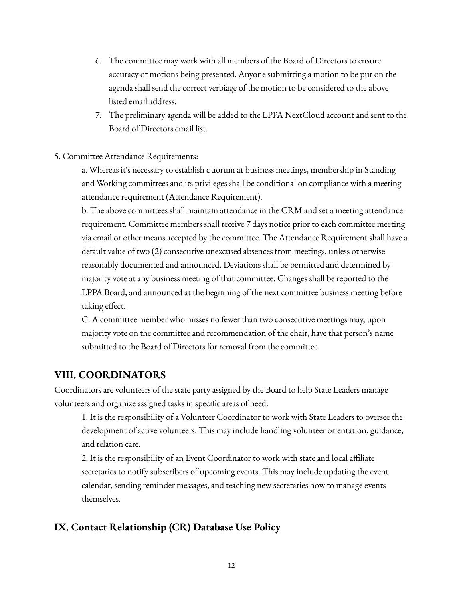- 6. The committee may work with all members of the Board of Directors to ensure accuracy of motions being presented. Anyone submitting a motion to be put on the agenda shall send the correct verbiage of the motion to be considered to the above listed email address.
- 7. The preliminary agenda will be added to the LPPA NextCloud account and sent to the Board of Directors email list.
- 5. Committee Attendance Requirements:

a. Whereas it's necessary to establish quorum at business meetings, membership in Standing and Working committees and its privileges shall be conditional on compliance with a meeting attendance requirement (Attendance Requirement).

b. The above committees shall maintain attendance in the CRM and set a meeting attendance requirement. Committee members shall receive 7 days notice prior to each committee meeting via email or other means accepted by the committee. The Attendance Requirement shall have a default value of two (2) consecutive unexcused absences from meetings, unless otherwise reasonably documented and announced. Deviations shall be permitted and determined by majority vote at any business meeting of that committee. Changes shall be reported to the LPPA Board, and announced at the beginning of the next committee business meeting before taking effect.

C. A committee member who misses no fewer than two consecutive meetings may, upon majority vote on the committee and recommendation of the chair, have that person's name submitted to the Board of Directors for removal from the committee.

### **VIII. COORDINATORS**

Coordinators are volunteers of the state party assigned by the Board to help State Leaders manage volunteers and organize assigned tasks in specific areas of need.

1. It is the responsibility of a Volunteer Coordinator to work with State Leaders to oversee the development of active volunteers. This may include handling volunteer orientation, guidance, and relation care.

2. It is the responsibility of an Event Coordinator to work with state and local affiliate secretaries to notify subscribers of upcoming events. This may include updating the event calendar, sending reminder messages, and teaching new secretaries how to manage events themselves.

## **IX. Contact Relationship (CR) Database Use Policy**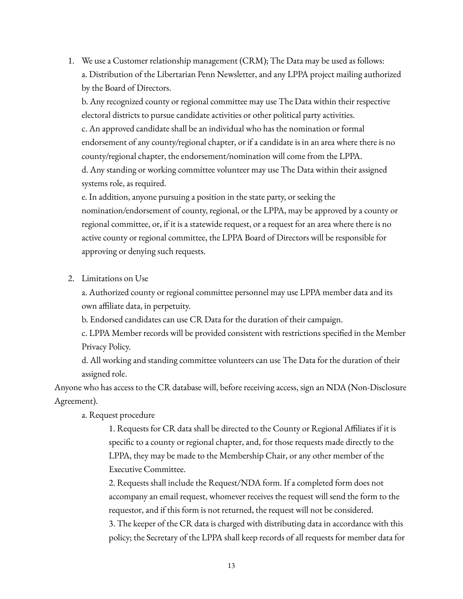1. We use a Customer relationship management (CRM); The Data may be used as follows: a. Distribution of the Libertarian Penn Newsletter, and any LPPA project mailing authorized by the Board of Directors.

b. Any recognized county or regional committee may use The Data within their respective electoral districts to pursue candidate activities or other political party activities. c. An approved candidate shall be an individual who has the nomination or formal

endorsement of any county/regional chapter, or if a candidate is in an area where there is no county/regional chapter, the endorsement/nomination will come from the LPPA. d. Any standing or working committee volunteer may use The Data within their assigned

systems role, as required.

e. In addition, anyone pursuing a position in the state party, or seeking the nomination/endorsement of county, regional, or the LPPA, may be approved by a county or regional committee, or, if it is a statewide request, or a request for an area where there is no active county or regional committee, the LPPA Board of Directors will be responsible for approving or denying such requests.

2. Limitations on Use

a. Authorized county or regional committee personnel may use LPPA member data and its own affiliate data, in perpetuity.

b. Endorsed candidates can use CR Data for the duration of their campaign.

c. LPPA Member records will be provided consistent with restrictions specified in the Member Privacy Policy.

d. All working and standing committee volunteers can use The Data for the duration of their assigned role.

Anyone who has access to the CR database will, before receiving access, sign an NDA (Non-Disclosure Agreement).

a. Request procedure

1. Requests for CR data shall be directed to the County or Regional Affiliates if it is specific to a county or regional chapter, and, for those requests made directly to the LPPA, they may be made to the Membership Chair, or any other member of the Executive Committee.

2. Requests shall include the Request/NDA form. If a completed form does not accompany an email request, whomever receives the request will send the form to the requestor, and if this form is not returned, the request will not be considered.

3. The keeper of the CR data is charged with distributing data in accordance with this policy; the Secretary of the LPPA shall keep records of all requests for member data for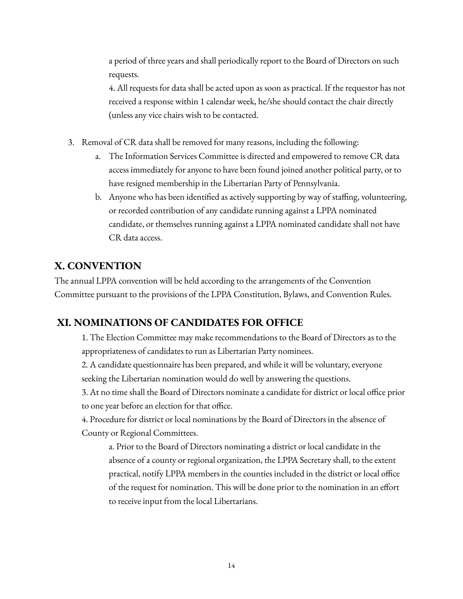a period of three years and shall periodically report to the Board of Directors on such requests.

4. All requests for data shall be acted upon as soon as practical. If the requestor has not received a response within 1 calendar week, he/she should contact the chair directly (unless any vice chairs wish to be contacted.

- 3. Removal of CR data shall be removed for many reasons, including the following:
	- a. The Information Services Committee is directed and empowered to remove CR data access immediately for anyone to have been found joined another political party, or to have resigned membership in the Libertarian Party of Pennsylvania.
	- b. Anyone who has been identified as actively supporting by way of staffing, volunteering, or recorded contribution of any candidate running against a LPPA nominated candidate, or themselves running against a LPPA nominated candidate shall not have CR data access.

# **X. CONVENTION**

The annual LPPA convention will be held according to the arrangements of the Convention Committee pursuant to the provisions of the LPPA Constitution, Bylaws, and Convention Rules.

# **XI. NOMINATIONS OF CANDIDATES FOR OFFICE**

1. The Election Committee may make recommendations to the Board of Directors as to the appropriateness of candidates to run as Libertarian Party nominees.

2. A candidate questionnaire has been prepared, and while it will be voluntary, everyone seeking the Libertarian nomination would do well by answering the questions.

3. At no time shall the Board of Directors nominate a candidate for district or local office prior to one year before an election for that office.

4. Procedure for district or local nominations by the Board of Directors in the absence of County or Regional Committees.

a. Prior to the Board of Directors nominating a district or local candidate in the absence of a county or regional organization, the LPPA Secretary shall, to the extent practical, notify LPPA members in the counties included in the district or local office of the request for nomination. This will be done prior to the nomination in an effort to receive input from the local Libertarians.